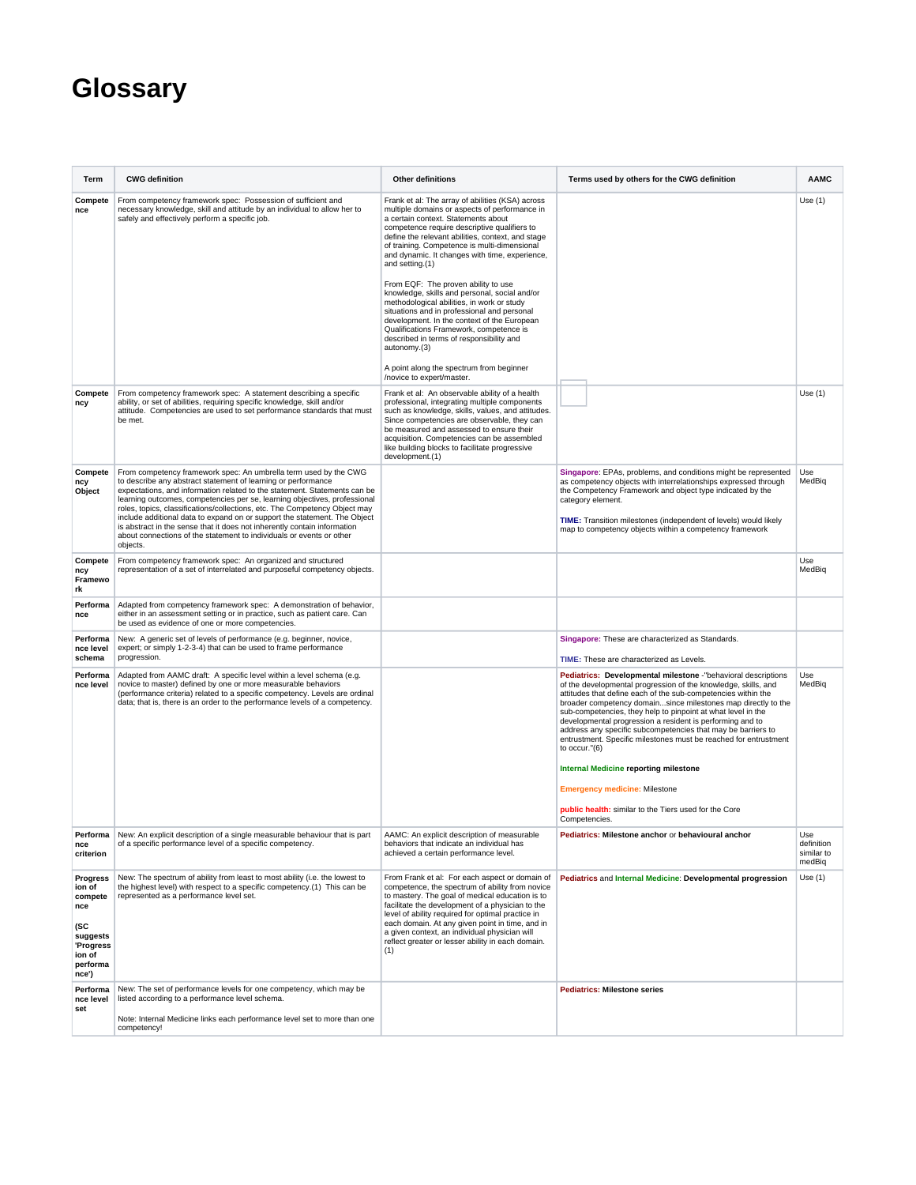## **Glossary**

| Term                                                                                                       | <b>CWG definition</b>                                                                                                                                                                                                                                                                                                                                                                                                                                                                                                                                                                                                  | <b>Other definitions</b>                                                                                                                                                                                                                                                                                                                                                                                                                                   | Terms used by others for the CWG definition                                                                                                                                                                                                                                                                                                                                                                                                                                                                                                            | <b>AAMC</b>                               |
|------------------------------------------------------------------------------------------------------------|------------------------------------------------------------------------------------------------------------------------------------------------------------------------------------------------------------------------------------------------------------------------------------------------------------------------------------------------------------------------------------------------------------------------------------------------------------------------------------------------------------------------------------------------------------------------------------------------------------------------|------------------------------------------------------------------------------------------------------------------------------------------------------------------------------------------------------------------------------------------------------------------------------------------------------------------------------------------------------------------------------------------------------------------------------------------------------------|--------------------------------------------------------------------------------------------------------------------------------------------------------------------------------------------------------------------------------------------------------------------------------------------------------------------------------------------------------------------------------------------------------------------------------------------------------------------------------------------------------------------------------------------------------|-------------------------------------------|
| Compete<br>nce                                                                                             | From competency framework spec: Possession of sufficient and<br>necessary knowledge, skill and attitude by an individual to allow her to<br>safely and effectively perform a specific job.                                                                                                                                                                                                                                                                                                                                                                                                                             | Frank et al: The array of abilities (KSA) across<br>multiple domains or aspects of performance in<br>a certain context. Statements about<br>competence require descriptive qualifiers to<br>define the relevant abilities, context, and stage<br>of training. Competence is multi-dimensional<br>and dynamic. It changes with time, experience,<br>and setting.(1)<br>From EQF: The proven ability to use<br>knowledge, skills and personal, social and/or |                                                                                                                                                                                                                                                                                                                                                                                                                                                                                                                                                        | Use $(1)$                                 |
|                                                                                                            |                                                                                                                                                                                                                                                                                                                                                                                                                                                                                                                                                                                                                        | methodological abilities, in work or study<br>situations and in professional and personal<br>development. In the context of the European<br>Qualifications Framework, competence is<br>described in terms of responsibility and<br>autonomy.(3)                                                                                                                                                                                                            |                                                                                                                                                                                                                                                                                                                                                                                                                                                                                                                                                        |                                           |
|                                                                                                            |                                                                                                                                                                                                                                                                                                                                                                                                                                                                                                                                                                                                                        | A point along the spectrum from beginner<br>/novice to expert/master.                                                                                                                                                                                                                                                                                                                                                                                      |                                                                                                                                                                                                                                                                                                                                                                                                                                                                                                                                                        |                                           |
| Compete<br>ncy                                                                                             | From competency framework spec: A statement describing a specific<br>ability, or set of abilities, requiring specific knowledge, skill and/or<br>attitude. Competencies are used to set performance standards that must<br>be met.                                                                                                                                                                                                                                                                                                                                                                                     | Frank et al: An observable ability of a health<br>professional, integrating multiple components<br>such as knowledge, skills, values, and attitudes.<br>Since competencies are observable, they can<br>be measured and assessed to ensure their<br>acquisition. Competencies can be assembled<br>like building blocks to facilitate progressive<br>development.(1)                                                                                         |                                                                                                                                                                                                                                                                                                                                                                                                                                                                                                                                                        | Use $(1)$                                 |
| Compete<br>ncy<br>Object                                                                                   | From competency framework spec: An umbrella term used by the CWG<br>to describe any abstract statement of learning or performance<br>expectations, and information related to the statement. Statements can be<br>learning outcomes, competencies per se, learning objectives, professional<br>roles, topics, classifications/collections, etc. The Competency Object may<br>include additional data to expand on or support the statement. The Object<br>is abstract in the sense that it does not inherently contain information<br>about connections of the statement to individuals or events or other<br>objects. |                                                                                                                                                                                                                                                                                                                                                                                                                                                            | Singapore: EPAs, problems, and conditions might be represented<br>as competency objects with interrelationships expressed through<br>the Competency Framework and object type indicated by the<br>category element.<br>TIME: Transition milestones (independent of levels) would likely<br>map to competency objects within a competency framework                                                                                                                                                                                                     | Use<br>MedBiq                             |
| Compete<br>ncy<br>Framewo<br>rk                                                                            | From competency framework spec: An organized and structured<br>representation of a set of interrelated and purposeful competency objects.                                                                                                                                                                                                                                                                                                                                                                                                                                                                              |                                                                                                                                                                                                                                                                                                                                                                                                                                                            |                                                                                                                                                                                                                                                                                                                                                                                                                                                                                                                                                        | Use<br>MedBig                             |
| Performa<br>nce                                                                                            | Adapted from competency framework spec: A demonstration of behavior,<br>either in an assessment setting or in practice, such as patient care. Can<br>be used as evidence of one or more competencies.                                                                                                                                                                                                                                                                                                                                                                                                                  |                                                                                                                                                                                                                                                                                                                                                                                                                                                            |                                                                                                                                                                                                                                                                                                                                                                                                                                                                                                                                                        |                                           |
| Performa<br>nce level<br>schema                                                                            | New: A generic set of levels of performance (e.g. beginner, novice,<br>expert; or simply 1-2-3-4) that can be used to frame performance<br>progression.                                                                                                                                                                                                                                                                                                                                                                                                                                                                |                                                                                                                                                                                                                                                                                                                                                                                                                                                            | Singapore: These are characterized as Standards.<br>TIME: These are characterized as Levels.                                                                                                                                                                                                                                                                                                                                                                                                                                                           |                                           |
| Performa<br>nce level                                                                                      | Adapted from AAMC draft: A specific level within a level schema (e.g.<br>novice to master) defined by one or more measurable behaviors<br>(performance criteria) related to a specific competency. Levels are ordinal<br>data; that is, there is an order to the performance levels of a competency.                                                                                                                                                                                                                                                                                                                   |                                                                                                                                                                                                                                                                                                                                                                                                                                                            | Pediatrics: Developmental milestone -"behavioral descriptions<br>of the developmental progression of the knowledge, skills, and<br>attitudes that define each of the sub-competencies within the<br>broader competency domainsince milestones map directly to the<br>sub-competencies, they help to pinpoint at what level in the<br>developmental progression a resident is performing and to<br>address any specific subcompetencies that may be barriers to<br>entrustment. Specific milestones must be reached for entrustment<br>to occur." $(6)$ | Use<br>MedBig                             |
|                                                                                                            |                                                                                                                                                                                                                                                                                                                                                                                                                                                                                                                                                                                                                        |                                                                                                                                                                                                                                                                                                                                                                                                                                                            | <b>Internal Medicine reporting milestone</b>                                                                                                                                                                                                                                                                                                                                                                                                                                                                                                           |                                           |
|                                                                                                            |                                                                                                                                                                                                                                                                                                                                                                                                                                                                                                                                                                                                                        |                                                                                                                                                                                                                                                                                                                                                                                                                                                            | <b>Emergency medicine: Milestone</b>                                                                                                                                                                                                                                                                                                                                                                                                                                                                                                                   |                                           |
|                                                                                                            |                                                                                                                                                                                                                                                                                                                                                                                                                                                                                                                                                                                                                        |                                                                                                                                                                                                                                                                                                                                                                                                                                                            | public health: similar to the Tiers used for the Core<br>Competencies.                                                                                                                                                                                                                                                                                                                                                                                                                                                                                 |                                           |
| Performa<br>nce<br>criterion                                                                               | New: An explicit description of a single measurable behaviour that is part<br>of a specific performance level of a specific competency.                                                                                                                                                                                                                                                                                                                                                                                                                                                                                | AAMC: An explicit description of measurable<br>behaviors that indicate an individual has<br>achieved a certain performance level.                                                                                                                                                                                                                                                                                                                          | Pediatrics: Milestone anchor or behavioural anchol                                                                                                                                                                                                                                                                                                                                                                                                                                                                                                     | use<br>definition<br>similar to<br>medBig |
| <b>Progress</b><br>ion of<br>compete<br>nce<br>(SC<br>suggests<br>'Progress<br>ion of<br>performa<br>nce') | New: The spectrum of ability from least to most ability (i.e. the lowest to<br>the highest level) with respect to a specific competency.(1) This can be<br>represented as a performance level set.                                                                                                                                                                                                                                                                                                                                                                                                                     | From Frank et al: For each aspect or domain of<br>competence, the spectrum of ability from novice<br>to mastery. The goal of medical education is to<br>facilitate the development of a physician to the<br>level of ability required for optimal practice in<br>each domain. At any given point in time, and in<br>a given context, an individual physician will<br>reflect greater or lesser ability in each domain.<br>(1)                              | Pediatrics and Internal Medicine: Developmental progression                                                                                                                                                                                                                                                                                                                                                                                                                                                                                            | Use(1)                                    |
| Performa<br>nce level<br>set                                                                               | New: The set of performance levels for one competency, which may be<br>listed according to a performance level schema.                                                                                                                                                                                                                                                                                                                                                                                                                                                                                                 |                                                                                                                                                                                                                                                                                                                                                                                                                                                            | <b>Pediatrics: Milestone series</b>                                                                                                                                                                                                                                                                                                                                                                                                                                                                                                                    |                                           |
|                                                                                                            | Note: Internal Medicine links each performance level set to more than one<br>competency!                                                                                                                                                                                                                                                                                                                                                                                                                                                                                                                               |                                                                                                                                                                                                                                                                                                                                                                                                                                                            |                                                                                                                                                                                                                                                                                                                                                                                                                                                                                                                                                        |                                           |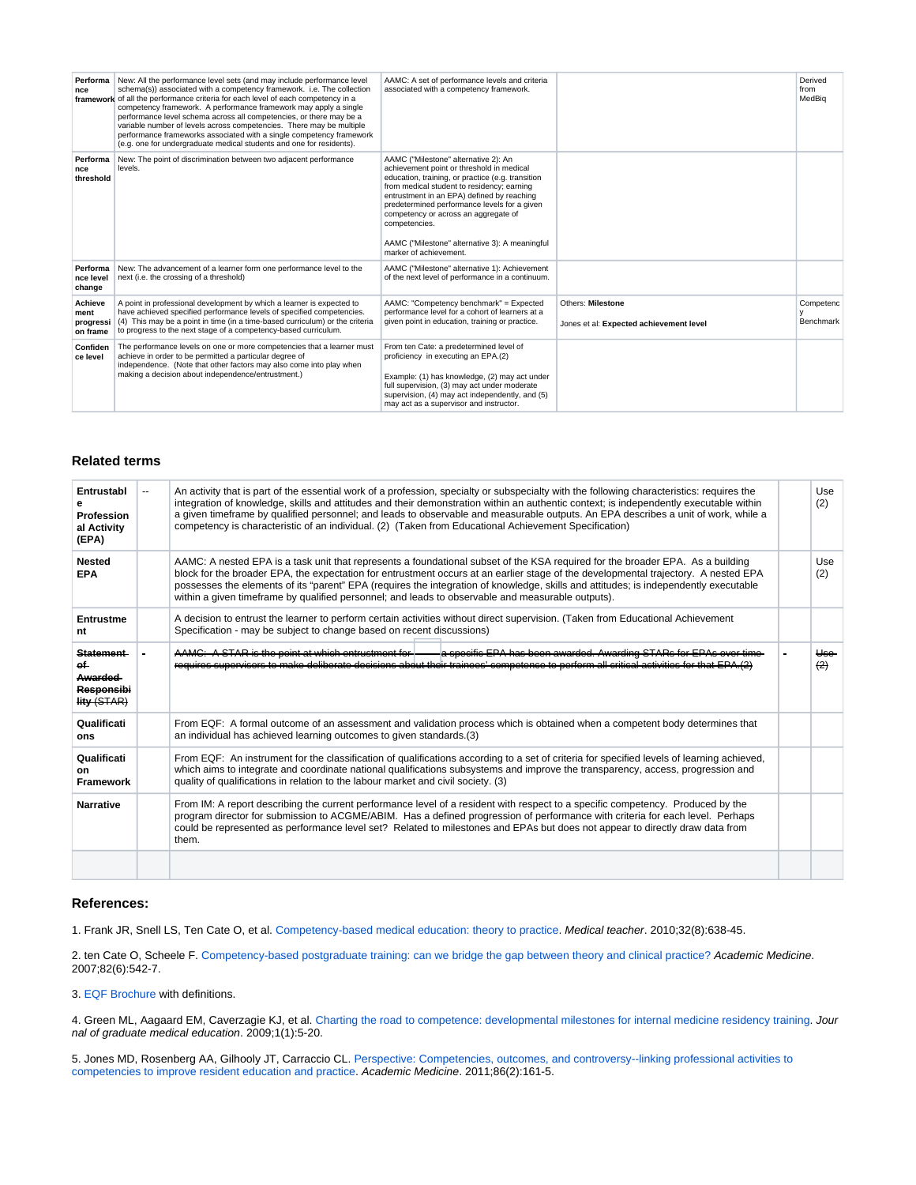| Performa<br>nce                          | New: All the performance level sets (and may include performance level<br>schema(s)) associated with a competency framework. i.e. The collection<br>framework of all the performance criteria for each level of each competency in a<br>competency framework. A performance framework may apply a single<br>performance level schema across all competencies, or there may be a<br>variable number of levels across competencies. There may be multiple<br>performance frameworks associated with a single competency framework<br>(e.g. one for undergraduate medical students and one for residents). | AAMC: A set of performance levels and criteria<br>associated with a competency framework.                                                                                                                                                                                                                                                                                                                               |                                                              | Derived<br>from<br>MedBig |
|------------------------------------------|---------------------------------------------------------------------------------------------------------------------------------------------------------------------------------------------------------------------------------------------------------------------------------------------------------------------------------------------------------------------------------------------------------------------------------------------------------------------------------------------------------------------------------------------------------------------------------------------------------|-------------------------------------------------------------------------------------------------------------------------------------------------------------------------------------------------------------------------------------------------------------------------------------------------------------------------------------------------------------------------------------------------------------------------|--------------------------------------------------------------|---------------------------|
| Performa<br>nce<br>threshold             | New: The point of discrimination between two adjacent performance<br>levels.                                                                                                                                                                                                                                                                                                                                                                                                                                                                                                                            | AAMC ("Milestone" alternative 2): An<br>achievement point or threshold in medical<br>education, training, or practice (e.g. transition<br>from medical student to residency; earning<br>entrustment in an EPA) defined by reaching<br>predetermined performance levels for a given<br>competency or across an aggregate of<br>competencies.<br>AAMC ("Milestone" alternative 3): A meaningful<br>marker of achievement. |                                                              |                           |
| Performa<br>nce level<br>change          | New: The advancement of a learner form one performance level to the<br>next (i.e. the crossing of a threshold)                                                                                                                                                                                                                                                                                                                                                                                                                                                                                          | AAMC ("Milestone" alternative 1): Achievement<br>of the next level of performance in a continuum.                                                                                                                                                                                                                                                                                                                       |                                                              |                           |
| Achieve<br>ment<br>progressi<br>on frame | A point in professional development by which a learner is expected to<br>have achieved specified performance levels of specified competencies.<br>(4) This may be a point in time (in a time-based curriculum) or the criteria<br>to progress to the next stage of a competency-based curriculum.                                                                                                                                                                                                                                                                                                       | AAMC: "Competency benchmark" = Expected<br>performance level for a cohort of learners at a<br>given point in education, training or practice.                                                                                                                                                                                                                                                                           | Others: Milestone<br>Jones et al: Expected achievement level | Competenc<br>Benchmark    |
| Confiden<br>ce level                     | The performance levels on one or more competencies that a learner must<br>achieve in order to be permitted a particular degree of<br>independence. (Note that other factors may also come into play when<br>making a decision about independence/entrustment.)                                                                                                                                                                                                                                                                                                                                          | From ten Cate: a predetermined level of<br>proficiency in executing an EPA.(2)<br>Example: (1) has knowledge, (2) may act under<br>full supervision, (3) may act under moderate<br>supervision, (4) may act independently, and (5)<br>may act as a supervisor and instructor.                                                                                                                                           |                                                              |                           |

## **Related terms**

| Entrustabl<br>Profession<br>al Activity<br>(EPA)                       | $-$ | An activity that is part of the essential work of a profession, specialty or subspecialty with the following characteristics: requires the<br>integration of knowledge, skills and attitudes and their demonstration within an authentic context; is independently executable within<br>a given timeframe by qualified personnel; and leads to observable and measurable outputs. An EPA describes a unit of work, while a<br>competency is characteristic of an individual. (2) (Taken from Educational Achievement Specification) |  |                       |
|------------------------------------------------------------------------|-----|-------------------------------------------------------------------------------------------------------------------------------------------------------------------------------------------------------------------------------------------------------------------------------------------------------------------------------------------------------------------------------------------------------------------------------------------------------------------------------------------------------------------------------------|--|-----------------------|
| <b>Nested</b><br><b>EPA</b>                                            |     | AAMC: A nested EPA is a task unit that represents a foundational subset of the KSA required for the broader EPA. As a building<br>block for the broader EPA, the expectation for entrustment occurs at an earlier stage of the developmental trajectory. A nested EPA<br>possesses the elements of its "parent" EPA (requires the integration of knowledge, skills and attitudes; is independently executable<br>within a given timeframe by qualified personnel; and leads to observable and measurable outputs).                  |  | Use<br>(2)            |
| Entrustme<br>nt                                                        |     | A decision to entrust the learner to perform certain activities without direct supervision. (Taken from Educational Achievement<br>Specification - may be subject to change based on recent discussions)                                                                                                                                                                                                                                                                                                                            |  |                       |
| <b>Statement</b><br>ef⊢<br><b>Awarded</b><br>Responsibi<br>lity (STAR) |     | a specific EPA has been awarded. Awarding STARs for EPAs over time-<br>AAMC: A STAR is the point at which entrustment for<br>requires supervisors to make deliberate decisions about their trainees' competence to perform all critical activities for that EPA.(2)                                                                                                                                                                                                                                                                 |  | <del>Use</del><br>(2) |
| Qualificati<br>ons                                                     |     | From EQF: A formal outcome of an assessment and validation process which is obtained when a competent body determines that<br>an individual has achieved learning outcomes to given standards.(3)                                                                                                                                                                                                                                                                                                                                   |  |                       |
| Qualificati<br>on<br><b>Framework</b>                                  |     | From EQF: An instrument for the classification of qualifications according to a set of criteria for specified levels of learning achieved,<br>which aims to integrate and coordinate national qualifications subsystems and improve the transparency, access, progression and<br>quality of qualifications in relation to the labour market and civil society. (3)                                                                                                                                                                  |  |                       |
| <b>Narrative</b>                                                       |     | From IM: A report describing the current performance level of a resident with respect to a specific competency. Produced by the<br>program director for submission to ACGME/ABIM. Has a defined progression of performance with criteria for each level. Perhaps<br>could be represented as performance level set? Related to milestones and EPAs but does not appear to directly draw data from<br>them.                                                                                                                           |  |                       |
|                                                                        |     |                                                                                                                                                                                                                                                                                                                                                                                                                                                                                                                                     |  |                       |

## **References:**

1. Frank JR, Snell LS, Ten Cate O, et al. [Competency-based medical education: theory to practice.](http://groups.medbiq.org/medbiq/download/attachments/59638571/Frank%20et%20al.%20-%20Competency-based%20medical%20education%20theory%20to%20practice.pdf?version=1&modificationDate=1594326037000&api=v2) Medical teacher. 2010;32(8):638-45.

2. ten Cate O, Scheele F. [Competency-based postgraduate training: can we bridge the gap between theory and clinical practice?](http://groups.medbiq.org/medbiq/download/attachments/59638571/ten%20Cate%2C%20Scheele%20-%20Competency-based%20postgraduate%20training%20can%20we%20bridge%20the%20gap%20between%20theory%20and%20clinical%20practice.pdf?version=1&modificationDate=1594326037000&api=v2) Academic Medicine. 2007;82(6):542-7.

3. [EQF Brochure](http://groups.medbiq.org/medbiq/download/attachments/59638571/EQF_broch_en.pdf?version=1&modificationDate=1594326036000&api=v2) with definitions.

4. Green ML, Aagaard EM, Caverzagie KJ, et al. [Charting the road to competence: developmental milestones for internal medicine residency training.](http://groups.medbiq.org/medbiq/download/attachments/59638571/Green%20et%20al.%20-%20Charting%20the%20road%20to%20competence%20developmental%20milestones%20for%20internal%20medicine%20residency%20training.pdf?version=1&modificationDate=1594326036000&api=v2) Jour nal of graduate medical education. 2009;1(1):5-20.

5. Jones MD, Rosenberg AA, Gilhooly JT, Carraccio CL. [Perspective: Competencies, outcomes, and controversy--linking professional activities to](http://groups.medbiq.org/medbiq/download/attachments/59638571/Jones%20et%20al.%20-%20Perspective%20Competencies%2C%20outcomes%2C%20and%20controversy--linking%20professional%20activities%20to%20competencies%20to%20improve%20resident%20education%20and%20practice.pdf?version=1&modificationDate=1594326036000&api=v2)  [competencies to improve resident education and practice.](http://groups.medbiq.org/medbiq/download/attachments/59638571/Jones%20et%20al.%20-%20Perspective%20Competencies%2C%20outcomes%2C%20and%20controversy--linking%20professional%20activities%20to%20competencies%20to%20improve%20resident%20education%20and%20practice.pdf?version=1&modificationDate=1594326036000&api=v2) Academic Medicine. 2011;86(2):161-5.